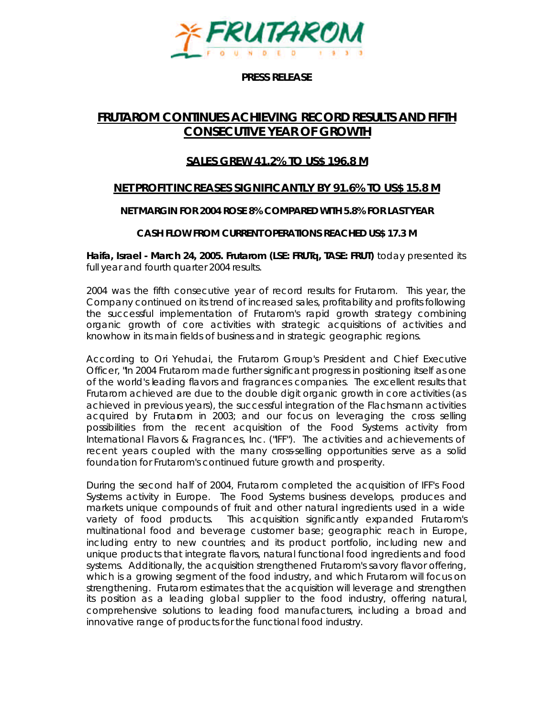

**PRESS RELEASE**

# **FRUTAROM CONTINUES ACHIEVING RECORD RESULTS AND FIFTH CONSECUTIVE YEAR OF GROWTH**

## **SALES GREW 41.2% TO US\$ 196.8 M**

## **NET PROFIT INCREASES SIGNIFICANTLY BY 91.6% TO US\$ 15.8 M**

### **NET MARGIN FOR 2004 ROSE 8% COMPARED WITH 5.8% FOR LAST YEAR**

### **CASH FLOW FROM CURRENT OPERATIONS REACHED US\$ 17.3 M**

**Haifa, Israel - March 24, 2005. Frutarom (LSE: FRUTq, TASE: FRUT)** today presented its full year and fourth quarter 2004 results.

2004 was the fifth consecutive year of record results for Frutarom. This year, the Company continued on its trend of increased sales, profitability and profits following the successful implementation of Frutarom's rapid growth strategy combining organic growth of core activities with strategic acquisitions of activities and knowhow in its main fields of business and in strategic geographic regions.

According to Ori Yehudai, the Frutarom Group's President and Chief Executive Officer, "In 2004 Frutarom made further significant progress in positioning itself as one of the world's leading flavors and fragrances companies. The excellent results that Frutarom achieved are due to the double digit organic growth in core activities (as achieved in previous years), the successful integration of the Flachsmann activities acquired by Frutarom in 2003; and our focus on leveraging the cross selling possibilities from the recent acquisition of the Food Systems activity from International Flavors & Fragrances, Inc. ("IFF"). The activities and achievements of recent years coupled with the many cross-selling opportunities serve as a solid foundation for Frutarom's continued future growth and prosperity.

During the second half of 2004, Frutarom completed the acquisition of IFF's Food Systems activity in Europe. The Food Systems business develops, produces and markets unique compounds of fruit and other natural ingredients used in a wide variety of food products. This acquisition significantly expanded Frutarom's multinational food and beverage customer base; geographic reach in Europe, including entry to new countries; and its product portfolio, including new and unique products that integrate flavors, natural functional food ingredients and food systems. Additionally, the acquisition strengthened Frutarom's savory flavor offering, which is a growing segment of the food industry, and which Frutarom will focus on strengthening. Frutarom estimates that the acquisition will leverage and strengthen its position as a leading global supplier to the food industry, offering natural, comprehensive solutions to leading food manufacturers, including a broad and innovative range of products for the functional food industry.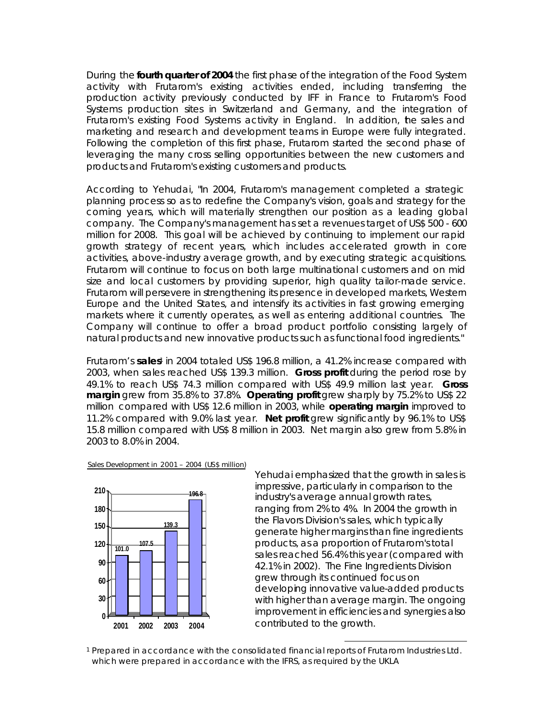During the **fourth quarter of 2004** the first phase of the integration of the Food System activity with Frutarom's existing activities ended, including transferring the production activity previously conducted by IFF in France to Frutarom's Food Systems production sites in Switzerland and Germany, and the integration of Frutarom's existing Food Systems activity in England. In addition, he sales and marketing and research and development teams in Europe were fully integrated. Following the completion of this first phase, Frutarom started the second phase of leveraging the many cross selling opportunities between the new customers and products and Frutarom's existing customers and products.

According to Yehudai, "In 2004, Frutarom's management completed a strategic planning process so as to redefine the Company's vision, goals and strategy for the coming years, which will materially strengthen our position as a leading global company. The Company's management has set a revenues target of US\$ 500 - 600 million for 2008. This goal will be achieved by continuing to implement our rapid growth strategy of recent years, which includes accelerated growth in core activities, above-industry average growth, and by executing strategic acquisitions. Frutarom will continue to focus on both large multinational customers and on mid size and local customers by providing superior, high quality tailor-made service. Frutarom will persevere in strengthening its presence in developed markets, Western Europe and the United States, and intensify its activities in fast growing emerging markets where it currently operates, as well as entering additional countries. The Company will continue to offer a broad product portfolio consisting largely of natural products and new innovative products such as functional food ingredients."

Frutarom's sales<sup>1</sup> in 2004 totaled US\$ 196.8 million, a 41.2% increase compared with 2003, when sales reached US\$ 139.3 million. **Gross profit** during the period rose by 49.1% to reach US\$ 74.3 million compared with US\$ 49.9 million last year. **Gross margin** grew from 35.8% to 37.8%. **Operating profit** grew sharply by 75.2% to US\$ 22 million compared with US\$ 12.6 million in 2003, while **operating margin** improved to 11.2% compared with 9.0% last year. **Net profit** grew significantly by 96.1% to US\$ 15.8 million compared with US\$ 8 million in 2003. Net margin also grew from 5.8% in 2003 to 8.0% in 2004.





Yehudai emphasized that the growth in sales is impressive, particularly in comparison to the industry's average annual growth rates, ranging from 2% to 4%. In 2004 the growth in the Flavors Division's sales, which typically generate higher margins than fine ingredients products, as a proportion of Frutarom's total sales reached 56.4% this year (compared with 42.1% in 2002). The Fine Ingredients Division grew through its continued focus on developing innovative value-added products with higher than average margin. The ongoing improvement in efficiencies and synergies also contributed to the growth.

 $\overline{a}$ 

<sup>1</sup> Prepared in accordance with the consolidated financial reports of Frutarom Industries Ltd. which were prepared in accordance with the IFRS, as required by the UKLA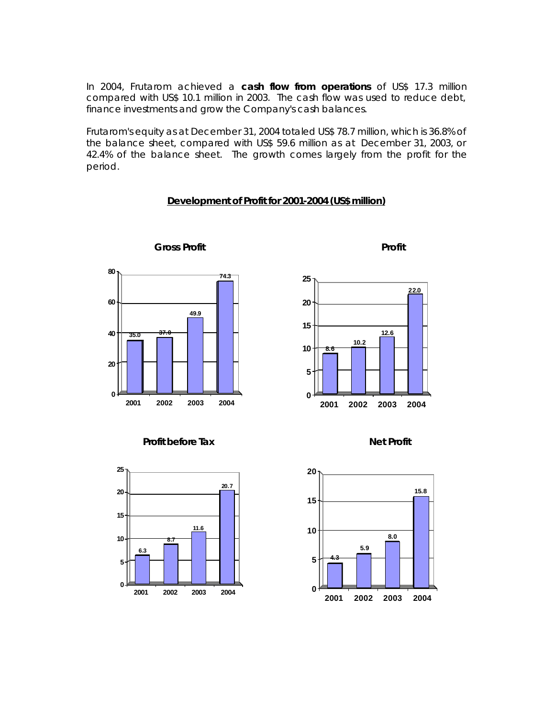In 2004, Frutarom achieved a **cash flow from operations** of US\$ 17.3 million compared with US\$ 10.1 million in 2003. The cash flow was used to reduce debt, finance investments and grow the Company's cash balances.

Frutarom's equity as at December 31, 2004 totaled US\$ 78.7 million, which is 36.8% of the balance sheet, compared with US\$ 59.6 million as at December 31, 2003, or 42.4% of the balance sheet. The growth comes largely from the profit for the period.

### **Development of Profit for 2001-2004 (US\$ million)**



**Gross Profit Profit**









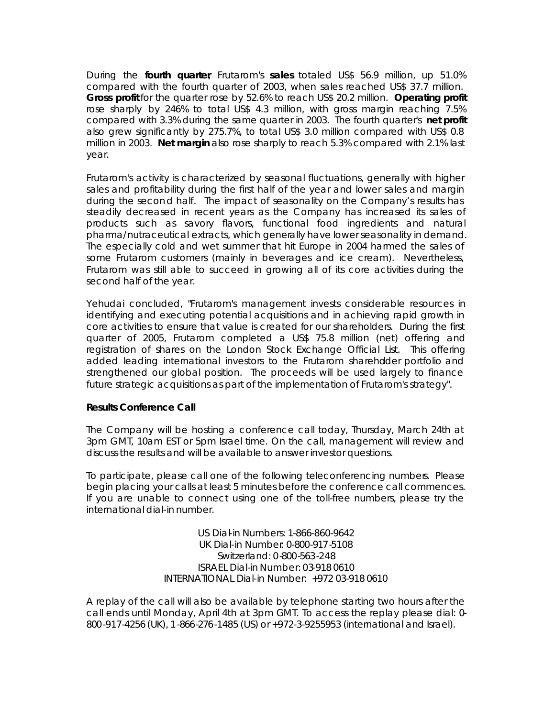During the **fourth quarter**, Frutarom's **sales** totaled US\$ 56.9 million, up 51.0% compared with the fourth quarter of 2003, when sales reached US\$ 37.7 million. **Gross profit** for the quarter rose by 52.6% to reach US\$ 20.2 million. **Operating profit** rose sharply by 246% to total US\$ 4.3 million, with gross margin reaching 7.5% compared with 3.3% during the same quarter in 2003. The fourth quarter's **net profit** also grew significantly by 275.7%, to total US\$ 3.0 million compared with US\$ 0.8 million in 2003. **Net margin** also rose sharply to reach 5.3% compared with 2.1% last year.

Frutarom's activity is characterized by seasonal fluctuations, generally with higher sales and profitability during the first half of the year and lower sales and margin during the second half. The impact of seasonality on the Company's results has steadily decreased in recent years as the Company has increased its sales of products such as savory flavors, functional food ingredients and natural pharma/nutraceutical extracts, which generally have lower seasonality in demand. The especially cold and wet summer that hit Europe in 2004 harmed the sales of some Frutarom customers (mainly in beverages and ice cream). Nevertheless, Frutarom was still able to succeed in growing all of its core activities during the second half of the year.

Yehudai concluded, "Frutarom's management invests considerable resources in identifying and executing potential acquisitions and in achieving rapid growth in core activities to ensure that value is created for our shareholders. During the first quarter of 2005, Frutarom completed a US\$ 75.8 million (net) offering and registration of shares on the London Stock Exchange Official List. This offering added leading international investors to the Frutarom sharehdder portfolio and strengthened our global position. The proceeds will be used largely to finance future strategic acquisitions as part of the implementation of Frutarom's strategy".

#### **Results Conference Call**

The Company will be hosting a conference call today, Thursday, March 24th at 3pm GMT, 10am EST or 5pm Israel time. On the call, management will review and discuss the results and will be available to answer investor questions.

To participate, please call one of the following teleconferencing numbers. Please begin placing your calls at least 5 minutes before the conference call commences. If you are unable to connect using one of the toll-free numbers, please try the international dial-in number.

> US Dial-in Numbers: 1-866-860-9642 UK Dial-in Number: 0-800-917-5108 Switzerland: 0-800-563-248 ISRAEL Dial-in Number: 03-918 0610 INTERNATIONAL Dial-in Number: +972 03-918 0610

A replay of the call will also be available by telephone starting two hours after the call ends until Monday, April 4th at 3pm GMT. To access the replay please dial: 0- 800-917-4256 (UK), 1-866-276-1485 (US) or +972-3-9255953 (international and Israel).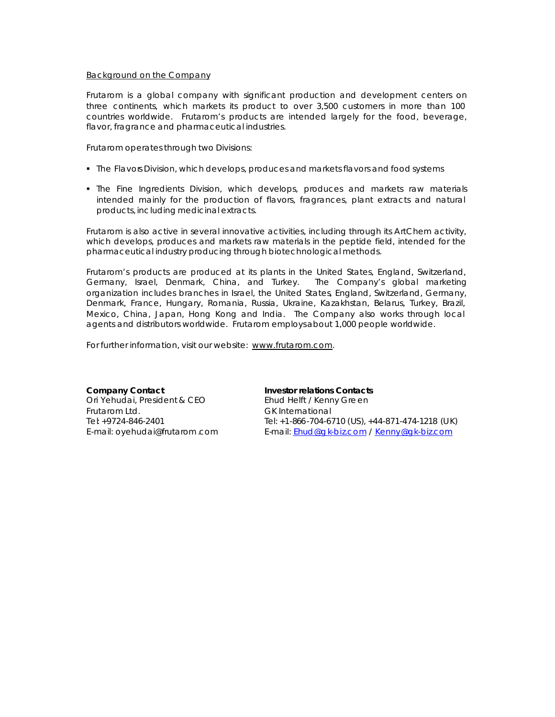#### Background on the Company

Frutarom is a global company with significant production and development centers on three continents, which markets its product to over 3,500 customers in more than 100 countries worldwide. Frutarom's products are intended largely for the food, beverage, flavor, fragrance and pharmaceutical industries.

Frutarom operates through two Divisions:

- **The Flavors Division, which develops, produces and markets flavors and food systems**
- **•** The Fine Ingredients Division, which develops, produces and markets raw materials intended mainly for the production of flavors, fragrances, plant extracts and natural products, including medicinal extracts.

Frutarom is also active in several innovative activities, including through its ArtChem activity, which develops, produces and markets raw materials in the peptide field, intended for the pharmaceutical industry producing through biotechnological methods.

Frutarom's products are produced at its plants in the United States, England, Switzerland, Germany, Israel, Denmark, China, and Turkey. The Company's global marketing organization includes branches in Israel, the United States, England, Switzerland, Germany, Denmark, France, Hungary, Romania, Russia, Ukraine, Kazakhstan, Belarus, Turkey, Brazil, Mexico, China, Japan, Hong Kong and India. The Company also works through local agents and distributors worldwide. Frutarom employs about 1,000 people worldwide.

For further information, visit our website: www.frutarom.com.

**Company Contact** Ori Yehudai, President & CEO Frutarom Ltd. Tel: +9724-846-2401 E-mail: oyehudai@frutarom .com

**Investor relations Contacts** Ehud Helft / Kenny Gre en GK International Tel: +1-866-704-6710 (US), +44-871-474-1218 (U K) E-mail: Ehud@g k-biz.com / Kenny@gk-biz.com